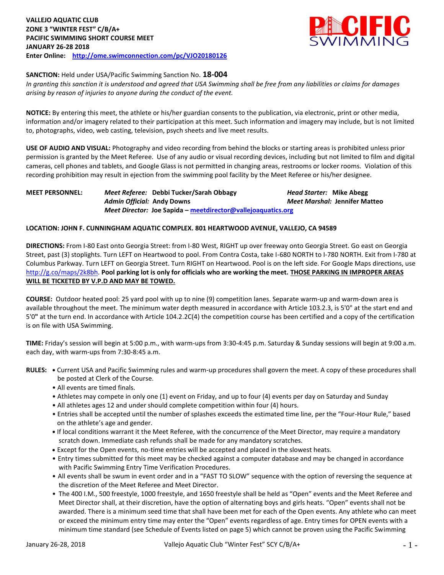

### **SANCTION:** Held under USA/Pacific Swimming Sanction No. **18-004**

*In granting this sanction it is understood and agreed that USA Swimming shall be free from any liabilities or claims for damages arising by reason of injuries to anyone during the conduct of the event.*

**NOTICE:** By entering this meet, the athlete or his/her guardian consents to the publication, via electronic, print or other media, information and/or imagery related to their participation at this meet. Such information and imagery may include, but is not limited to, photographs, video, web casting, television, psych sheets and live meet results.

**USE OF AUDIO AND VISUAL:** Photography and video recording from behind the blocks or starting areas is prohibited unless prior permission is granted by the Meet Referee. Use of any audio or visual recording devices, including but not limited to film and digital cameras, cell phones and tablets, and Google Glass is not permitted in changing areas, restrooms or locker rooms. Violation of this recording prohibition may result in ejection from the swimming pool facility by the Meet Referee or his/her designee.

## **MEET PERSONNEL:** *Meet Referee:* **Debbi Tucker/Sarah Obbagy** *Head Starter:* **Mike Abegg** *Admin Official:* **Andy Downs** *Meet Marshal:* **Jennifer Matteo** *Meet Director:* **Joe Sapida – [meetdirector@vallejoaquatics.org](mailto:meetdirector@vallejoaquatics.org)**

#### **LOCATION: JOHN F. CUNNINGHAM AQUATIC COMPLEX. 801 HEARTWOOD AVENUE, VALLEJO, CA 94589**

**DIRECTIONS:** From I-80 East onto Georgia Street: from I-80 West, RIGHT up over freeway onto Georgia Street. Go east on Georgia Street, past (3) stoplights. Turn LEFT on Heartwood to pool. From Contra Costa, take I-680 NORTH to I-780 NORTH. Exit from I-780 at Columbus Parkway. Turn LEFT on Georgia Street. Turn RIGHT on Heartwood. Pool is on the left side. For Google Maps directions, use [http://g.co/maps/2k8bh.](http://g.co/maps/2k8bh) **Pool parking lot is only for officials who are working the meet. THOSE PARKING IN IMPROPER AREAS WILL BE TICKETED BY V.P.D AND MAY BE TOWED.** 

**COURSE:** Outdoor heated pool: 25 yard pool with up to nine (9) competition lanes. Separate warm-up and warm-down area is available throughout the meet. The minimum water depth measured in accordance with Article 103.2.3, is 5'0" at the start end and 5'0**"** at the turn end. In accordance with Article 104.2.2C(4) the competition course has been certified and a copy of the certification is on file with USA Swimming.

**TIME:** Friday's session will begin at 5:00 p.m., with warm-ups from 3:30-4:45 p.m. Saturday & Sunday sessions will begin at 9:00 a.m. each day, with warm-ups from 7:30-8:45 a.m.

- **RULES: •** Current USA and Pacific Swimming rules and warm-up procedures shall govern the meet. A copy of these procedures shall be posted at Clerk of the Course.
	- All events are timed finals.
	- Athletes may compete in only one (1) event on Friday, and up to four (4) events per day on Saturday and Sunday
	- All athletes ages 12 and under should complete competition within four (4) hours.
	- Entries shall be accepted until the number of splashes exceeds the estimated time line, per the "Four-Hour Rule," based on the athlete's age and gender.
	- **•** If local conditions warrant it the Meet Referee, with the concurrence of the Meet Director, may require a mandatory scratch down. Immediate cash refunds shall be made for any mandatory scratches.
	- Except for the Open events, no-time entries will be accepted and placed in the slowest heats.
	- Entry times submitted for this meet may be checked against a computer database and may be changed in accordance with Pacific Swimming Entry Time Verification Procedures.
	- All events shall be swum in event order and in a "FAST TO SLOW" sequence with the option of reversing the sequence at the discretion of the Meet Referee and Meet Director.
	- The 400 I.M., 500 freestyle, 1000 freestyle, and 1650 freestyle shall be held as "Open" events and the Meet Referee and Meet Director shall, at their discretion, have the option of alternating boys and girls heats. "Open" events shall not be awarded. There is a minimum seed time that shall have been met for each of the Open events. Any athlete who can meet or exceed the minimum entry time may enter the "Open" events regardless of age. Entry times for OPEN events with a minimum time standard (see Schedule of Events listed on page 5) which cannot be proven using the Pacific Swimming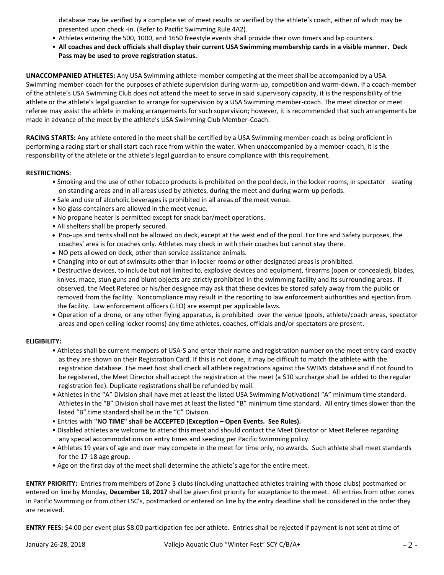database may be verified by a complete set of meet results or verified by the athlete's coach, either of which may be presented upon check -in. (Refer to Pacific Swimming Rule 4A2).

- Athletes entering the 500, 1000, and 1650 freestyle events shall provide their own timers and lap counters.
- **All coaches and deck officials shall display their current USA Swimming membership cards in a visible manner. Deck Pass may be used to prove registration status.**

**UNACCOMPANIED ATHLETES:** Any USA Swimming athlete-member competing at the meet shall be accompanied by a USA Swimming member-coach for the purposes of athlete supervision during warm-up, competition and warm-down. If a coach-member of the athlete's USA Swimming Club does not attend the meet to serve in said supervisory capacity, it is the responsibility of the athlete or the athlete's legal guardian to arrange for supervision by a USA Swimming member-coach. The meet director or meet referee may assist the athlete in making arrangements for such supervision; however, it is recommended that such arrangements be made in advance of the meet by the athlete's USA Swimming Club Member-Coach.

**RACING STARTS:** Any athlete entered in the meet shall be certified by a USA Swimming member-coach as being proficient in performing a racing start or shall start each race from within the water. When unaccompanied by a member-coach, it is the responsibility of the athlete or the athlete's legal guardian to ensure compliance with this requirement.

### **RESTRICTIONS:**

- Smoking and the use of other tobacco products is prohibited on the pool deck, in the locker rooms, in spectator seating on standing areas and in all areas used by athletes, during the meet and during warm-up periods.
- Sale and use of alcoholic beverages is prohibited in all areas of the meet venue.
- No glass containers are allowed in the meet venue.
- No propane heater is permitted except for snack bar/meet operations.
- All shelters shall be properly secured.
- Pop-ups and tents shall not be allowed on deck, except at the west end of the pool. For Fire and Safety purposes, the coaches' area is for coaches only. Athletes may check in with their coaches but cannot stay there.
- NO pets allowed on deck, other than service assistance animals.
- Changing into or out of swimsuits other than in locker rooms or other designated areas is prohibited.
- Destructive devices, to include but not limited to, explosive devices and equipment, firearms (open or concealed), blades, knives, mace, stun guns and blunt objects are strictly prohibited in the swimming facility and its surrounding areas. If observed, the Meet Referee or his/her designee may ask that these devices be stored safely away from the public or removed from the facility. Noncompliance may result in the reporting to law enforcement authorities and ejection from the facility. Law enforcement officers (LEO) are exempt per applicable laws.
- Operation of a drone, or any other flying apparatus, is prohibited over the venue (pools, athlete/coach areas, spectator areas and open ceiling locker rooms) any time athletes, coaches, officials and/or spectators are present.

#### **ELIGIBILITY:**

- Athletes shall be current members of USA-S and enter their name and registration number on the meet entry card exactly as they are shown on their Registration Card. If this is not done, it may be difficult to match the athlete with the registration database. The meet host shall check all athlete registrations against the SWIMS database and if not found to be registered, the Meet Director shall accept the registration at the meet (a \$10 surcharge shall be added to the regular registration fee). Duplicate registrations shall be refunded by mail.
- Athletes in the "A" Division shall have met at least the listed USA Swimming Motivational "A" minimum time standard. Athletes in the "B" Division shall have met at least the listed "B" minimum time standard. All entry times slower than the listed "B" time standard shall be in the "C" Division.
- Entries with **"NO TIME" shall be ACCEPTED (Exception – Open Events. See Rules).**
- Disabled athletes are welcome to attend this meet and should contact the Meet Director or Meet Referee regarding any special accommodations on entry times and seeding per Pacific Swimming policy.
- Athletes 19 years of age and over may compete in the meet for time only, no awards. Such athlete shall meet standards for the 17-18 age group.
- Age on the first day of the meet shall determine the athlete's age for the entire meet.

**ENTRY PRIORITY:** Entries from members of Zone 3 clubs (including unattached athletes training with those clubs) postmarked or entered on line by Monday, **December 18, 2017** shall be given first priority for acceptance to the meet. All entries from other zones in Pacific Swimming or from other LSC's, postmarked or entered on line by the entry deadline shall be considered in the order they are received.

**ENTRY FEES:** \$4.00 per event plus \$8.00 participation fee per athlete. Entries shall be rejected if payment is not sent at time of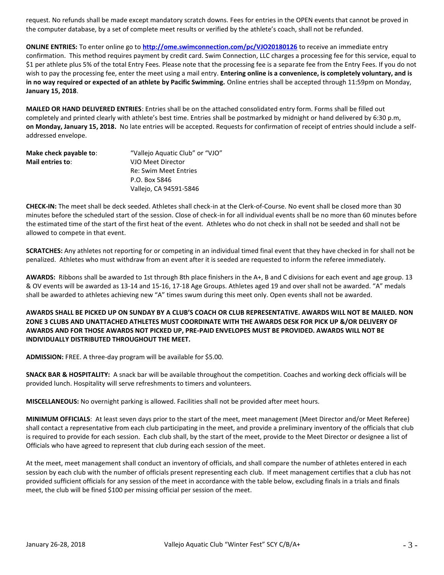request. No refunds shall be made except mandatory scratch downs. Fees for entries in the OPEN events that cannot be proved in the computer database, by a set of complete meet results or verified by the athlete's coach, shall not be refunded.

**ONLINE ENTRIES:** To enter online go to **<http://ome.swimconnection.com/pc/VJO20180126>** to receive an immediate entry confirmation. This method requires payment by credit card. Swim Connection, LLC charges a processing fee for this service, equal to \$1 per athlete plus 5% of the total Entry Fees. Please note that the processing fee is a separate fee from the Entry Fees. If you do not wish to pay the processing fee, enter the meet using a mail entry. **Entering online is a convenience, is completely voluntary, and is in no way required or expected of an athlete by Pacific Swimming.** Online entries shall be accepted through 11:59pm on Monday, **January 15, 2018**.

**MAILED OR HAND DELIVERED ENTRIES**: Entries shall be on the attached consolidated entry form. Forms shall be filled out completely and printed clearly with athlete's best time. Entries shall be postmarked by midnight or hand delivered by 6:30 p.m, **on Monday, January 15, 2018.** No late entries will be accepted. Requests for confirmation of receipt of entries should include a selfaddressed envelope.

| Make check payable to: | "Vallejo Aquatic Club" or "VJO" |
|------------------------|---------------------------------|
| Mail entries to:       | VJO Meet Director               |
|                        | Re: Swim Meet Entries           |
|                        | P.O. Box 5846                   |
|                        | Vallejo, CA 94591-5846          |

**CHECK-IN:** The meet shall be deck seeded. Athletes shall check-in at the Clerk-of-Course. No event shall be closed more than 30 minutes before the scheduled start of the session. Close of check-in for all individual events shall be no more than 60 minutes before the estimated time of the start of the first heat of the event. Athletes who do not check in shall not be seeded and shall not be allowed to compete in that event.

**SCRATCHES:** Any athletes not reporting for or competing in an individual timed final event that they have checked in for shall not be penalized. Athletes who must withdraw from an event after it is seeded are requested to inform the referee immediately.

**AWARDS:** Ribbons shall be awarded to 1st through 8th place finishers in the A+, B and C divisions for each event and age group. 13 & OV events will be awarded as 13-14 and 15-16, 17-18 Age Groups. Athletes aged 19 and over shall not be awarded. "A" medals shall be awarded to athletes achieving new "A" times swum during this meet only. Open events shall not be awarded.

**AWARDS SHALL BE PICKED UP ON SUNDAY BY A CLUB'S COACH OR CLUB REPRESENTATIVE. AWARDS WILL NOT BE MAILED. NON ZONE 3 CLUBS AND UNATTACHED ATHLETES MUST COORDINATE WITH THE AWARDS DESK FOR PICK UP &/OR DELIVERY OF AWARDS AND FOR THOSE AWARDS NOT PICKED UP, PRE-PAID ENVELOPES MUST BE PROVIDED. AWARDS WILL NOT BE INDIVIDUALLY DISTRIBUTED THROUGHOUT THE MEET.**

**ADMISSION:** FREE. A three-day program will be available for \$5.00.

**SNACK BAR & HOSPITALITY:** A snack bar will be available throughout the competition. Coaches and working deck officials will be provided lunch. Hospitality will serve refreshments to timers and volunteers.

**MISCELLANEOUS:** No overnight parking is allowed. Facilities shall not be provided after meet hours.

**MINIMUM OFFICIALS**: At least seven days prior to the start of the meet, meet management (Meet Director and/or Meet Referee) shall contact a representative from each club participating in the meet, and provide a preliminary inventory of the officials that club is required to provide for each session. Each club shall, by the start of the meet, provide to the Meet Director or designee a list of Officials who have agreed to represent that club during each session of the meet.

At the meet, meet management shall conduct an inventory of officials, and shall compare the number of athletes entered in each session by each club with the number of officials present representing each club. If meet management certifies that a club has not provided sufficient officials for any session of the meet in accordance with the table below, excluding finals in a trials and finals meet, the club will be fined \$100 per missing official per session of the meet.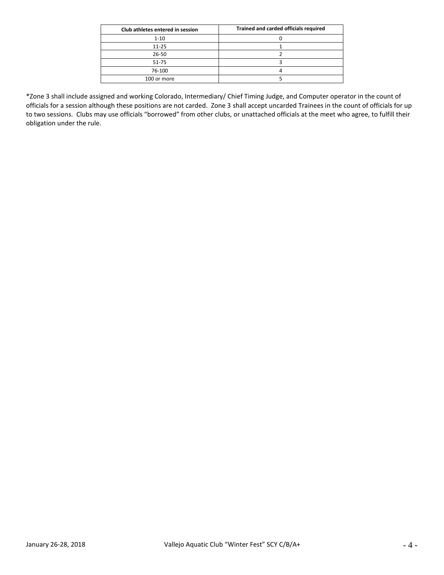| Club athletes entered in session | Trained and carded officials required |
|----------------------------------|---------------------------------------|
| $1 - 10$                         |                                       |
| $11 - 25$                        |                                       |
| 26-50                            |                                       |
| 51-75                            |                                       |
| 76-100                           |                                       |
| 100 or more                      |                                       |

\*Zone 3 shall include assigned and working Colorado, Intermediary/ Chief Timing Judge, and Computer operator in the count of officials for a session although these positions are not carded. Zone 3 shall accept uncarded Trainees in the count of officials for up to two sessions. Clubs may use officials "borrowed" from other clubs, or unattached officials at the meet who agree, to fulfill their obligation under the rule.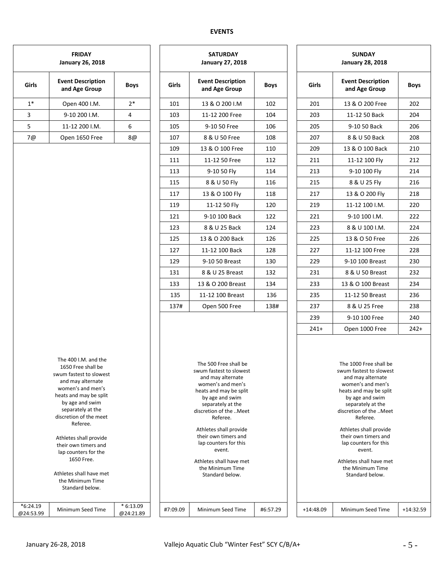# **EVENTS**

| <b>FRIDAY</b><br><b>January 26, 2018</b> |                                                                                                                                                                                                                                                                                                                                                                |             |          | <b>SATURDAY</b><br><b>January 27, 2018</b>                                                                                                                                                                                                                                                                                                                |             | <b>SUNDAY</b><br><b>January 28, 2018</b> |             |                                                                                                                                                                                                                                                                                                                                                            |             |  |  |
|------------------------------------------|----------------------------------------------------------------------------------------------------------------------------------------------------------------------------------------------------------------------------------------------------------------------------------------------------------------------------------------------------------------|-------------|----------|-----------------------------------------------------------------------------------------------------------------------------------------------------------------------------------------------------------------------------------------------------------------------------------------------------------------------------------------------------------|-------------|------------------------------------------|-------------|------------------------------------------------------------------------------------------------------------------------------------------------------------------------------------------------------------------------------------------------------------------------------------------------------------------------------------------------------------|-------------|--|--|
| Girls                                    | <b>Event Description</b><br>and Age Group                                                                                                                                                                                                                                                                                                                      | <b>Boys</b> | Girls    | <b>Event Description</b><br>and Age Group                                                                                                                                                                                                                                                                                                                 | <b>Boys</b> |                                          | Girls       | <b>Event Description</b><br>and Age Group                                                                                                                                                                                                                                                                                                                  | <b>Boys</b> |  |  |
| $1^*$                                    | Open 400 I.M.                                                                                                                                                                                                                                                                                                                                                  | $2*$        | 101      | 13 & O 200 I.M                                                                                                                                                                                                                                                                                                                                            | 102         |                                          | 201         | 13 & O 200 Free                                                                                                                                                                                                                                                                                                                                            | 202         |  |  |
| 3                                        | 9-10 200 I.M.                                                                                                                                                                                                                                                                                                                                                  | 4           | 103      | 11-12 200 Free                                                                                                                                                                                                                                                                                                                                            | 104         |                                          | 203         | 11-12 50 Back                                                                                                                                                                                                                                                                                                                                              | 204         |  |  |
| 5                                        | 11-12 200 I.M.                                                                                                                                                                                                                                                                                                                                                 | 6           | 105      | 9-10 50 Free                                                                                                                                                                                                                                                                                                                                              | 106         |                                          | 205         | 9-10 50 Back                                                                                                                                                                                                                                                                                                                                               | 206         |  |  |
| 7@                                       | Open 1650 Free                                                                                                                                                                                                                                                                                                                                                 | 8@          | 107      | 8 & U 50 Free                                                                                                                                                                                                                                                                                                                                             | 108         |                                          | 207         | 8 & U 50 Back                                                                                                                                                                                                                                                                                                                                              | 208         |  |  |
|                                          |                                                                                                                                                                                                                                                                                                                                                                |             | 109      | 13 & O 100 Free                                                                                                                                                                                                                                                                                                                                           | 110         |                                          | 209         | 13 & O 100 Back                                                                                                                                                                                                                                                                                                                                            | 210         |  |  |
|                                          |                                                                                                                                                                                                                                                                                                                                                                |             | 111      | 11-12 50 Free                                                                                                                                                                                                                                                                                                                                             | 112         |                                          | 211         | 11-12 100 Fly                                                                                                                                                                                                                                                                                                                                              | 212         |  |  |
|                                          |                                                                                                                                                                                                                                                                                                                                                                |             | 113      | 9-10 50 Fly                                                                                                                                                                                                                                                                                                                                               | 114         |                                          | 213         | 9-10 100 Fly                                                                                                                                                                                                                                                                                                                                               | 214         |  |  |
|                                          |                                                                                                                                                                                                                                                                                                                                                                |             | 115      | 8 & U 50 Fly                                                                                                                                                                                                                                                                                                                                              | 116         |                                          | 215         | 8 & U 25 Fly                                                                                                                                                                                                                                                                                                                                               | 216         |  |  |
|                                          |                                                                                                                                                                                                                                                                                                                                                                |             | 117      | 13 & O 100 Fly                                                                                                                                                                                                                                                                                                                                            | 118         |                                          | 217         | 13 & O 200 Fly                                                                                                                                                                                                                                                                                                                                             | 218         |  |  |
|                                          |                                                                                                                                                                                                                                                                                                                                                                |             | 119      | 11-12 50 Fly                                                                                                                                                                                                                                                                                                                                              | 120         |                                          | 219         | 11-12 100 I.M.                                                                                                                                                                                                                                                                                                                                             | 220         |  |  |
|                                          |                                                                                                                                                                                                                                                                                                                                                                |             | 121      | 9-10 100 Back                                                                                                                                                                                                                                                                                                                                             | 122         |                                          | 221         | 9-10 100 I.M.                                                                                                                                                                                                                                                                                                                                              | 222         |  |  |
|                                          |                                                                                                                                                                                                                                                                                                                                                                |             | 123      | 8 & U 25 Back                                                                                                                                                                                                                                                                                                                                             | 124         |                                          | 223         | 8 & U 100 I.M.                                                                                                                                                                                                                                                                                                                                             | 224         |  |  |
|                                          |                                                                                                                                                                                                                                                                                                                                                                |             | 125      | 13 & O 200 Back                                                                                                                                                                                                                                                                                                                                           | 126         |                                          | 225         | 13 & O 50 Free                                                                                                                                                                                                                                                                                                                                             | 226         |  |  |
|                                          |                                                                                                                                                                                                                                                                                                                                                                |             | 127      | 11-12 100 Back                                                                                                                                                                                                                                                                                                                                            | 128         |                                          | 227         | 11-12 100 Free                                                                                                                                                                                                                                                                                                                                             | 228         |  |  |
|                                          |                                                                                                                                                                                                                                                                                                                                                                |             | 129      | 9-10 50 Breast                                                                                                                                                                                                                                                                                                                                            | 130         |                                          | 229         | 9-10 100 Breast                                                                                                                                                                                                                                                                                                                                            | 230         |  |  |
|                                          |                                                                                                                                                                                                                                                                                                                                                                |             | 131      | 8 & U 25 Breast                                                                                                                                                                                                                                                                                                                                           | 132         |                                          | 231         | 8 & U 50 Breast                                                                                                                                                                                                                                                                                                                                            | 232         |  |  |
|                                          |                                                                                                                                                                                                                                                                                                                                                                |             | 133      | 13 & O 200 Breast                                                                                                                                                                                                                                                                                                                                         | 134         |                                          | 233         | 13 & O 100 Breast                                                                                                                                                                                                                                                                                                                                          | 234         |  |  |
|                                          |                                                                                                                                                                                                                                                                                                                                                                |             | 135      | 11-12 100 Breast                                                                                                                                                                                                                                                                                                                                          | 136         |                                          | 235         | 11-12 50 Breast                                                                                                                                                                                                                                                                                                                                            | 236         |  |  |
|                                          |                                                                                                                                                                                                                                                                                                                                                                |             | 137#     | Open 500 Free                                                                                                                                                                                                                                                                                                                                             | 138#        |                                          | 237         | 8 & U 25 Free                                                                                                                                                                                                                                                                                                                                              | 238         |  |  |
|                                          |                                                                                                                                                                                                                                                                                                                                                                |             |          |                                                                                                                                                                                                                                                                                                                                                           |             |                                          | 239         | 9-10 100 Free                                                                                                                                                                                                                                                                                                                                              | 240         |  |  |
|                                          |                                                                                                                                                                                                                                                                                                                                                                |             |          |                                                                                                                                                                                                                                                                                                                                                           |             |                                          | $241+$      | Open 1000 Free                                                                                                                                                                                                                                                                                                                                             | $242+$      |  |  |
|                                          | The 400 I.M. and the<br>1650 Free shall be<br>swum fastest to slowest<br>and may alternate<br>women's and men's<br>heats and may be split<br>by age and swim<br>separately at the<br>discretion of the meet<br>Referee.<br>Athletes shall provide<br>their own timers and<br>lap counters for the<br>1650 Free.<br>Athletes shall have met<br>the Minimum Time |             |          | The 500 Free shall be<br>swum fastest to slowest<br>and may alternate<br>women's and men's<br>heats and may be split<br>by age and swim<br>separately at the<br>discretion of the Meet<br>Referee.<br>Athletes shall provide<br>their own timers and<br>lap counters for this<br>event.<br>Athletes shall have met<br>the Minimum Time<br>Standard below. |             |                                          |             | The 1000 Free shall be<br>swum fastest to slowest<br>and may alternate<br>women's and men's<br>heats and may be split<br>by age and swim<br>separately at the<br>discretion of the Meet<br>Referee.<br>Athletes shall provide<br>their own timers and<br>lap counters for this<br>event.<br>Athletes shall have met<br>the Minimum Time<br>Standard below. |             |  |  |
| $*6:24.19$<br>@24:53.99                  | Standard below.<br>Minimum Seed Time                                                                                                                                                                                                                                                                                                                           | $*6:13.09$  | #7:09.09 | Minimum Seed Time                                                                                                                                                                                                                                                                                                                                         | #6:57.29    |                                          | $+14:48.09$ | Minimum Seed Time                                                                                                                                                                                                                                                                                                                                          | $+14:32.59$ |  |  |

|       | <b>SATURDAY</b><br><b>January 27, 2018</b>                                                                                                                                                                                                                                    |             | <b>SUNDAY</b><br><b>January 28, 2018</b> |                                                                                                                                                                                                                                                                                |             |  |  |  |
|-------|-------------------------------------------------------------------------------------------------------------------------------------------------------------------------------------------------------------------------------------------------------------------------------|-------------|------------------------------------------|--------------------------------------------------------------------------------------------------------------------------------------------------------------------------------------------------------------------------------------------------------------------------------|-------------|--|--|--|
| Girls | <b>Event Description</b><br>and Age Group                                                                                                                                                                                                                                     | <b>Boys</b> | Girls                                    | <b>Event Description</b><br>and Age Group                                                                                                                                                                                                                                      | <b>Boys</b> |  |  |  |
| 101   | 13 & O 200 I.M                                                                                                                                                                                                                                                                | 102         | 201                                      | 13 & O 200 Free                                                                                                                                                                                                                                                                | 202         |  |  |  |
| 103   | 11-12 200 Free                                                                                                                                                                                                                                                                | 104         | 203                                      | 11-12 50 Back                                                                                                                                                                                                                                                                  | 204         |  |  |  |
| 105   | 9-10 50 Free                                                                                                                                                                                                                                                                  | 106         | 205                                      | 9-10 50 Back                                                                                                                                                                                                                                                                   | 206         |  |  |  |
| 107   | 8 & U 50 Free                                                                                                                                                                                                                                                                 | 108         | 207                                      | 8 & U 50 Back                                                                                                                                                                                                                                                                  | 208         |  |  |  |
| 109   | 13 & O 100 Free                                                                                                                                                                                                                                                               | 110         | 209                                      | 13 & O 100 Back                                                                                                                                                                                                                                                                | 210         |  |  |  |
| 111   | 11-12 50 Free                                                                                                                                                                                                                                                                 | 112         | 211                                      | 11-12 100 Fly                                                                                                                                                                                                                                                                  | 212         |  |  |  |
| 113   | 9-10 50 Fly                                                                                                                                                                                                                                                                   | 114         | 213                                      | 9-10 100 Fly                                                                                                                                                                                                                                                                   | 214         |  |  |  |
| 115   | 8 & U 50 Fly                                                                                                                                                                                                                                                                  | 116         | 215                                      | 8 & U 25 Fly                                                                                                                                                                                                                                                                   | 216         |  |  |  |
| 117   | 13 & O 100 Fly                                                                                                                                                                                                                                                                | 118         | 217                                      | 13 & O 200 Fly                                                                                                                                                                                                                                                                 | 218         |  |  |  |
| 119   | 11-12 50 Fly                                                                                                                                                                                                                                                                  | 120         | 219                                      | 11-12 100 I.M.                                                                                                                                                                                                                                                                 | 220         |  |  |  |
| 121   | 9-10 100 Back                                                                                                                                                                                                                                                                 | 122         | 221                                      | 9-10 100 I.M.                                                                                                                                                                                                                                                                  | 222         |  |  |  |
| 123   | 8 & U 25 Back                                                                                                                                                                                                                                                                 | 124         | 223                                      | 8 & U 100 I.M.                                                                                                                                                                                                                                                                 | 224         |  |  |  |
| 125   | 13 & O 200 Back                                                                                                                                                                                                                                                               | 126         | 225                                      | 13 & O 50 Free                                                                                                                                                                                                                                                                 | 226         |  |  |  |
| 127   | 11-12 100 Back                                                                                                                                                                                                                                                                | 128         | 227                                      | 11-12 100 Free                                                                                                                                                                                                                                                                 | 228         |  |  |  |
| 129   | 9-10 50 Breast                                                                                                                                                                                                                                                                | 130         | 229                                      | 9-10 100 Breast                                                                                                                                                                                                                                                                | 230         |  |  |  |
| 131   | 8 & U 25 Breast                                                                                                                                                                                                                                                               | 132         | 231                                      | 8 & U 50 Breast                                                                                                                                                                                                                                                                | 232         |  |  |  |
| 133   | 13 & O 200 Breast                                                                                                                                                                                                                                                             | 134         | 233                                      | 13 & O 100 Breast                                                                                                                                                                                                                                                              | 234         |  |  |  |
| 135   | 11-12 100 Breast                                                                                                                                                                                                                                                              | 136         | 235                                      | 11-12 50 Breast                                                                                                                                                                                                                                                                | 236         |  |  |  |
| 137#  | Open 500 Free                                                                                                                                                                                                                                                                 | 138#        | 237                                      | 8 & U 25 Free                                                                                                                                                                                                                                                                  | 238         |  |  |  |
|       |                                                                                                                                                                                                                                                                               |             | 239                                      | 9-10 100 Free                                                                                                                                                                                                                                                                  | 240         |  |  |  |
|       |                                                                                                                                                                                                                                                                               |             | $241+$                                   | Open 1000 Free                                                                                                                                                                                                                                                                 | $242+$      |  |  |  |
|       | The 500 Free shall be<br>swum fastest to slowest<br>and may alternate<br>women's and men's<br>heats and may be split<br>by age and swim<br>separately at the<br>discretion of the Meet<br>Referee.<br>Athletes shall provide<br>their own timers and<br>lap counters for this |             |                                          | The 1000 Free shall be<br>swum fastest to slowest<br>and may alternate<br>women's and men's<br>heats and may be split<br>by age and swim<br>separately at the<br>discretion of the Meet<br>Referee.<br>Athletes shall provide<br>their own timers and<br>lap counters for this |             |  |  |  |
|       | event.<br>Athletes shall have met<br>the Minimum Time                                                                                                                                                                                                                         |             |                                          | event.<br>Athletes shall have met<br>the Minimum Time                                                                                                                                                                                                                          |             |  |  |  |